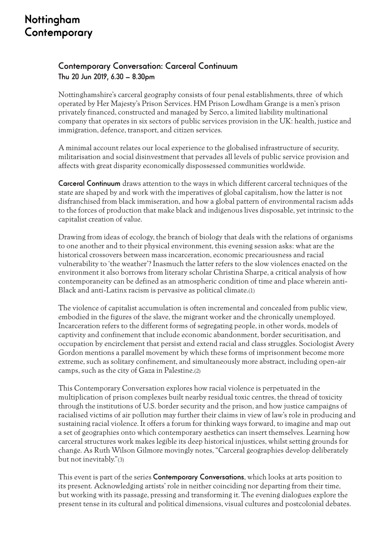## Nottingham Contemporary

## **Contemporary Conversation: Carceral Continuum Thu 20 Jun 2019, 6.30 – 8.30pm**

Nottinghamshire's carceral geography consists of four penal establishments, three of which operated by Her Majesty's Prison Services. HM Prison Lowdham Grange is a men's prison privately financed, constructed and managed by Serco, a limited liability multinational company that operates in six sectors of public services provision in the UK: health, justice and immigration, defence, transport, and citizen services.

A minimal account relates our local experience to the globalised infrastructure of security, militarisation and social disinvestment that pervades all levels of public service provision and affects with great disparity economically dispossessed communities worldwide.

**Carceral Continuum** draws attention to the ways in which different carceral techniques of the state are shaped by and work with the imperatives of global capitalism, how the latter is not disfranchised from black immiseration, and how a global pattern of environmental racism adds to the forces of production that make black and indigenous lives disposable, yet intrinsic to the capitalist creation of value.

Drawing from ideas of ecology, the branch of biology that deals with the relations of organisms to one another and to their physical environment, this evening session asks: what are the historical crossovers between mass incarceration, economic precariousness and racial vulnerability to 'the weather'? Inasmuch the latter refers to the slow violences enacted on the environment it also borrows from literary scholar Christina Sharpe, a critical analysis of how contemporaneity can be defined as an atmospheric condition of time and place wherein anti-Black and anti-Latinx racism is pervasive as political climate.(1)

The violence of capitalist accumulation is often incremental and concealed from public view, embodied in the figures of the slave, the migrant worker and the chronically unemployed. Incarceration refers to the different forms of segregating people, in other words, models of captivity and confinement that include economic abandonment, border securitisation, and occupation by encirclement that persist and extend racial and class struggles. Sociologist Avery Gordon mentions a parallel movement by which these forms of imprisonment become more extreme, such as solitary confinement, and simultaneously more abstract, including open-air camps, such as the city of Gaza in Palestine.(2)

This Contemporary Conversation explores how racial violence is perpetuated in the multiplication of prison complexes built nearby residual toxic centres, the thread of toxicity through the institutions of U.S. border security and the prison, and how justice campaigns of racialised victims of air pollution may further their claims in view of law's role in producing and sustaining racial violence. It offers a forum for thinking ways forward, to imagine and map out a set of geographies onto which contemporary aesthetics can insert themselves. Learning how carceral structures work makes legible its deep historical injustices, whilst setting grounds for change. As Ruth Wilson Gilmore movingly notes, "Carceral geographies develop deliberately but not inevitably."(3)

This event is part of the series **Contemporary Conversations**, which looks at arts position to its present. Acknowledging artists' role in neither coinciding nor departing from their time, but working with its passage, pressing and transforming it. The evening dialogues explore the present tense in its cultural and political dimensions, visual cultures and postcolonial debates.